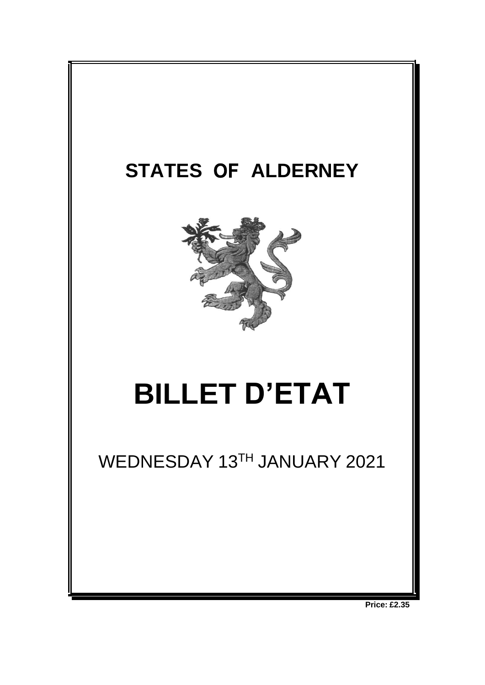

**Price: £2.35**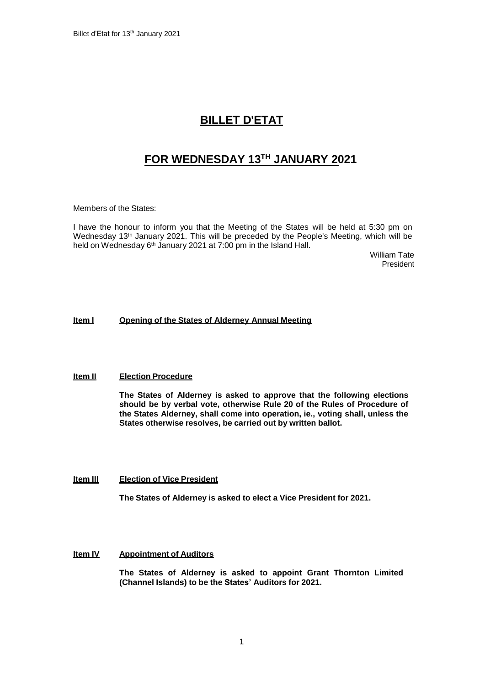## **BILLET D'ETAT**

# **FOR WEDNESDAY 13TH JANUARY 2021**

Members of the States:

I have the honour to inform you that the Meeting of the States will be held at 5:30 pm on Wednesday 13th January 2021. This will be preceded by the People's Meeting, which will be held on Wednesday 6<sup>th</sup> January 2021 at 7:00 pm in the Island Hall.

William Tate President

## **Item l Opening of the States of Alderney Annual Meeting**

### **Item II Election Procedure**

**The States of Alderney is asked to approve that the following elections should be by verbal vote, otherwise Rule 20 of the Rules of Procedure of the States Alderney, shall come into operation, ie., voting shall, unless the States otherwise resolves, be carried out by written ballot.**

### **Item III Election of Vice President**

**The States of Alderney is asked to elect a Vice President for 2021.**

## **Item IV Appointment of Auditors**

**The States of Alderney is asked to appoint Grant Thornton Limited (Channel Islands) to be the States' Auditors for 2021.**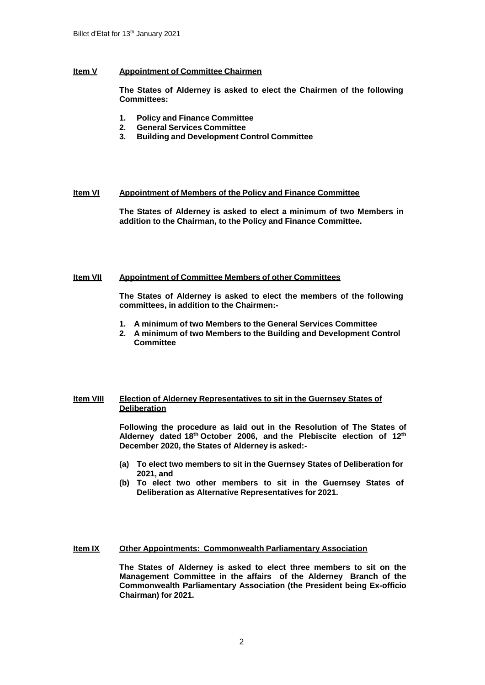### **Item V Appointment of Committee Chairmen**

**The States of Alderney is asked to elect the Chairmen of the following Committees:**

- **1. Policy and Finance Committee**
- **2. General Services Committee**
- **3. Building and Development Control Committee**

### **Item VI Appointment of Members of the Policy and Finance Committee**

**The States of Alderney is asked to elect a minimum of two Members in addition to the Chairman, to the Policy and Finance Committee.**

### **Item VII Appointment of Committee Members of other Committees**

**The States of Alderney is asked to elect the members of the following committees, in addition to the Chairmen:-**

- **1. A minimum of two Members to the General Services Committee**
- **2. A minimum of two Members to the Building and Development Control Committee**

## **Item VIII Election of Alderney Representatives to sit in the Guernsey States of Deliberation**

**Following the procedure as laid out in the Resolution of The States of Alderney dated 18th October 2006, and the Plebiscite election of 12th December 2020, the States of Alderney is asked:-**

- **(a) To elect two members to sit in the Guernsey States of Deliberation for 2021, and**
- **(b) To elect two other members to sit in the Guernsey States of Deliberation as Alternative Representatives for 2021.**

### **Item IX Other Appointments: Commonwealth Parliamentary Association**

**The States of Alderney is asked to elect three members to sit on the Management Committee in the affairs of the Alderney Branch of the Commonwealth Parliamentary Association (the President being Ex-officio Chairman) for 2021.**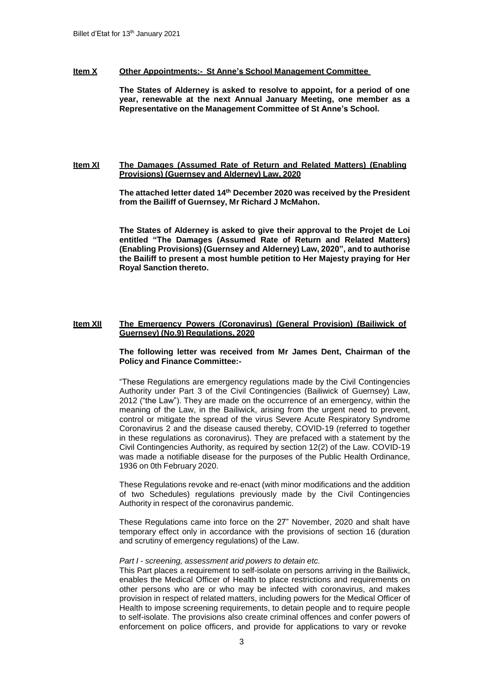#### **Item X Other Appointments:- St Anne's School Management Committee**

**The States of Alderney is asked to resolve to appoint, for a period of one year, renewable at the next Annual January Meeting, one member as a Representative on the Management Committee of St Anne's School.**

### **Item XI The Damages (Assumed Rate of Return and Related Matters) (Enabling Provisions) (Guernsey and Alderney) Law, 2020**

**The attached letter dated 14th December 2020 was received by the President from the Bailiff of Guernsey, Mr Richard J McMahon.**

**The States of Alderney is asked to give their approval to the Projet de Loi entitled "The Damages (Assumed Rate of Return and Related Matters) (Enabling Provisions) (Guernsey and Alderney) Law, 2020", and to authorise the Bailiff to present a most humble petition to Her Majesty praying for Her Royal Sanction thereto.**

#### **Item XII The Emergency Powers (Coronavirus) (General Provision) (Bailiwick of Guernsey) (No.9) Regulations, 2020**

**The following letter was received from Mr James Dent, Chairman of the Policy and Finance Committee:-**

"These Regulations are emergency regulations made by the Civil Contingencies Authority under Part 3 of the Civil Contingencies (Bailiwick of Guernsey) Law, 2012 ("the Law"). They are made on the occurrence of an emergency, within the meaning of the Law, in the Bailiwick, arising from the urgent need to prevent, control or mitigate the spread of the virus Severe Acute Respiratory Syndrome Coronavirus 2 and the disease caused thereby, COVID-19 (referred to together in these regulations as coronavirus). They are prefaced with a statement by the Civil Contingencies Authority, as required by section 12(2) of the Law. COVID-19 was made a notifiable disease for the purposes of the Public Health Ordinance, 1936 on 0th February 2020.

These Regulations revoke and re-enact (with minor modifications and the addition of two Schedules) regulations previously made by the Civil Contingencies Authority in respect of the coronavirus pandemic.

These Regulations came into force on the 27" November, 2020 and shalt have temporary effect only in accordance with the provisions of section 16 (duration and scrutiny of emergency regulations) of the Law.

#### *Part I - screening, assessment arid powers to detain etc.*

This Part places a requirement to self-isolate on persons arriving in the Bailiwick, enables the Medical Officer of Health to place restrictions and requirements on other persons who are or who may be infected with coronavirus, and makes provision in respect of related matters, including powers for the Medical Officer of Health to impose screening requirements, to detain people and to require people to self-isolate. The provisions also create criminal offences and confer powers of enforcement on police officers, and provide for applications to vary or revoke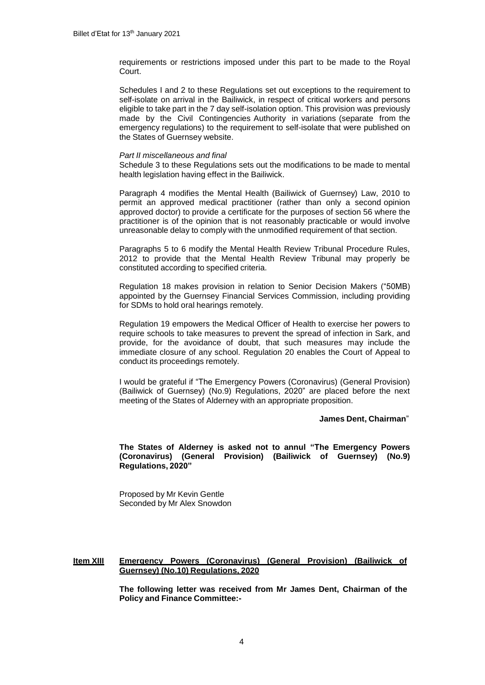requirements or restrictions imposed under this part to be made to the Royal Court.

Schedules I and 2 to these Regulations set out exceptions to the requirement to self-isolate on arrival in the Bailiwick, in respect of critical workers and persons eligible to take part in the 7 day self-isolation option. This provision was previously made by the Civil Contingencies Authority in variations (separate from the emergency regulations) to the requirement to self-isolate that were published on the States of Guernsey website.

#### *Part II miscellaneous and final*

Schedule 3 to these Regulations sets out the modifications to be made to mental health legislation having effect in the Bailiwick.

Paragraph 4 modifies the Mental Health (Bailiwick of Guernsey) Law, 2010 to permit an approved medical practitioner (rather than only a second opinion approved doctor) to provide a certificate for the purposes of section 56 where the practitioner is of the opinion that is not reasonably practicable or would involve unreasonable delay to comply with the unmodified requirement of that section.

Paragraphs 5 to 6 modify the Mental Health Review Tribunal Procedure Rules, 2012 to provide that the Mental Health Review Tribunal may properly be constituted according to specified criteria.

Regulation 18 makes provision in relation to Senior Decision Makers ("50MB) appointed by the Guernsey Financial Services Commission, including providing for SDMs to hold oral hearings remotely.

Regulation 19 empowers the Medical Officer of Health to exercise her powers to require schools to take measures to prevent the spread of infection in Sark, and provide, for the avoidance of doubt, that such measures may include the immediate closure of any school. Regulation 20 enables the Court of Appeal to conduct its proceedings remotely.

I would be grateful if "The Emergency Powers (Coronavirus) (General Provision) (Bailiwick of Guernsey) (No.9) Regulations, 2020" are placed before the next meeting of the States of Alderney with an appropriate proposition.

#### **James Dent, Chairman**"

**The States of Alderney is asked not to annul "The Emergency Powers (Coronavirus) (General Provision) (Bailiwick of Guernsey) (No.9) Regulations, 2020"**

Proposed by Mr Kevin Gentle Seconded by Mr Alex Snowdon

## **Item XIII Emergency Powers (Coronavirus) (General Provision) (Bailiwick of Guernsey) (No.10) Regulations, 2020**

**The following letter was received from Mr James Dent, Chairman of the Policy and Finance Committee:-**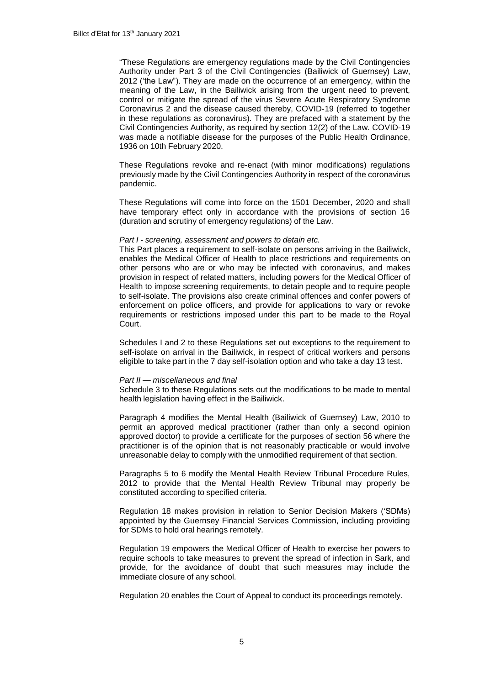"These Regulations are emergency regulations made by the Civil Contingencies Authority under Part 3 of the Civil Contingencies (Bailiwick of Guernsey) Law, 2012 ('the Law"). They are made on the occurrence of an emergency, within the meaning of the Law, in the Bailiwick arising from the urgent need to prevent, control or mitigate the spread of the virus Severe Acute Respiratory Syndrome Coronavirus 2 and the disease caused thereby, COVID-19 (referred to together in these regulations as coronavirus). They are prefaced with a statement by the Civil Contingencies Authority, as required by section 12(2) of the Law. COVID-19 was made a notifiable disease for the purposes of the Public Health Ordinance, 1936 on 10th February 2020.

These Regulations revoke and re-enact (with minor modifications) regulations previously made by the Civil Contingencies Authority in respect of the coronavirus pandemic.

These Regulations will come into force on the 1501 December, 2020 and shall have temporary effect only in accordance with the provisions of section 16 (duration and scrutiny of emergency regulations) of the Law.

#### *Part I - screening, assessment and powers to detain etc.*

This Part places a requirement to self-isolate on persons arriving in the Bailiwick, enables the Medical Officer of Health to place restrictions and requirements on other persons who are or who may be infected with coronavirus, and makes provision in respect of related matters, including powers for the Medical Officer of Health to impose screening requirements, to detain people and to require people to self-isolate. The provisions also create criminal offences and confer powers of enforcement on police officers, and provide for applications to vary or revoke requirements or restrictions imposed under this part to be made to the Royal Court.

Schedules I and 2 to these Regulations set out exceptions to the requirement to self-isolate on arrival in the Bailiwick, in respect of critical workers and persons eligible to take part in the 7 day self-isolation option and who take a day 13 test.

#### *Part II — miscellaneous and final*

Schedule 3 to these Regulations sets out the modifications to be made to mental health legislation having effect in the Bailiwick.

Paragraph 4 modifies the Mental Health (Bailiwick of Guernsey) Law, 2010 to permit an approved medical practitioner (rather than only a second opinion approved doctor) to provide a certificate for the purposes of section 56 where the practitioner is of the opinion that is not reasonably practicable or would involve unreasonable delay to comply with the unmodified requirement of that section.

Paragraphs 5 to 6 modify the Mental Health Review Tribunal Procedure Rules, 2012 to provide that the Mental Health Review Tribunal may properly be constituted according to specified criteria.

Regulation 18 makes provision in relation to Senior Decision Makers ('SDMs) appointed by the Guernsey Financial Services Commission, including providing for SDMs to hold oral hearings remotely.

Regulation 19 empowers the Medical Officer of Health to exercise her powers to require schools to take measures to prevent the spread of infection in Sark, and provide, for the avoidance of doubt that such measures may include the immediate closure of any school.

Regulation 20 enables the Court of Appeal to conduct its proceedings remotely.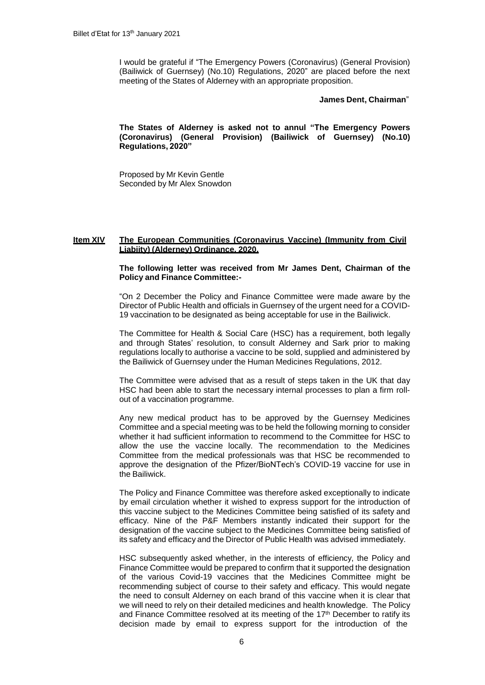I would be grateful if "The Emergency Powers (Coronavirus) (General Provision) (Bailiwick of Guernsey) (No.10) Regulations, 2020" are placed before the next meeting of the States of Alderney with an appropriate proposition.

#### **James Dent, Chairman**"

**The States of Alderney is asked not to annul "The Emergency Powers (Coronavirus) (General Provision) (Bailiwick of Guernsey) (No.10) Regulations, 2020"**

Proposed by Mr Kevin Gentle Seconded by Mr Alex Snowdon

#### **Item XIV The European Communities (Coronavirus Vaccine) (Immunity from Civil Liabiity) (Alderney) Ordinance, 2020.**

### **The following letter was received from Mr James Dent, Chairman of the Policy and Finance Committee:-**

"On 2 December the Policy and Finance Committee were made aware by the Director of Public Health and officials in Guernsey of the urgent need for a COVID-19 vaccination to be designated as being acceptable for use in the Bailiwick.

The Committee for Health & Social Care (HSC) has a requirement, both legally and through States' resolution, to consult Alderney and Sark prior to making regulations locally to authorise a vaccine to be sold, supplied and administered by the Bailiwick of Guernsey under the Human Medicines Regulations, 2012.

The Committee were advised that as a result of steps taken in the UK that day HSC had been able to start the necessary internal processes to plan a firm rollout of a vaccination programme.

Any new medical product has to be approved by the Guernsey Medicines Committee and a special meeting was to be held the following morning to consider whether it had sufficient information to recommend to the Committee for HSC to allow the use the vaccine locally. The recommendation to the Medicines Committee from the medical professionals was that HSC be recommended to approve the designation of the Pfizer/BioNTech's COVID-19 vaccine for use in the Bailiwick.

The Policy and Finance Committee was therefore asked exceptionally to indicate by email circulation whether it wished to express support for the introduction of this vaccine subject to the Medicines Committee being satisfied of its safety and efficacy. Nine of the P&F Members instantly indicated their support for the designation of the vaccine subject to the Medicines Committee being satisfied of its safety and efficacy and the Director of Public Health was advised immediately.

HSC subsequently asked whether, in the interests of efficiency, the Policy and Finance Committee would be prepared to confirm that it supported the designation of the various Covid-19 vaccines that the Medicines Committee might be recommending subject of course to their safety and efficacy. This would negate the need to consult Alderney on each brand of this vaccine when it is clear that we will need to rely on their detailed medicines and health knowledge. The Policy and Finance Committee resolved at its meeting of the 17<sup>th</sup> December to ratify its decision made by email to express support for the introduction of the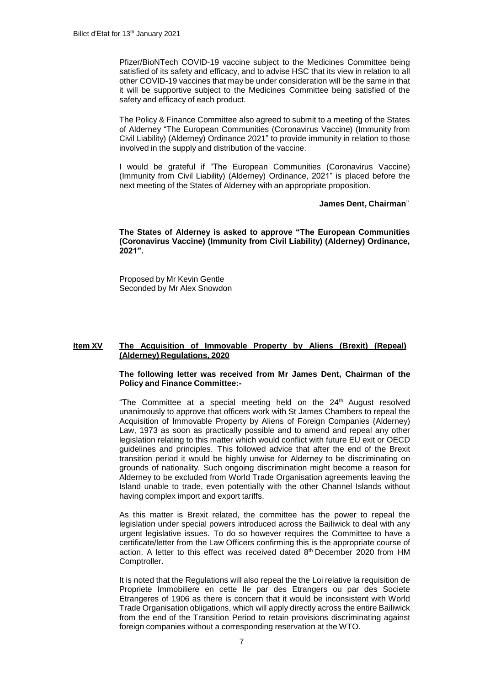Pfizer/BioNTech COVID-19 vaccine subject to the Medicines Committee being satisfied of its safety and efficacy, and to advise HSC that its view in relation to all other COVID-19 vaccines that may be under consideration will be the same in that it will be supportive subject to the Medicines Committee being satisfied of the safety and efficacy of each product.

The Policy & Finance Committee also agreed to submit to a meeting of the States of Alderney "The European Communities (Coronavirus Vaccine) (Immunity from Civil Liability) (Alderney) Ordinance 2021" to provide immunity in relation to those involved in the supply and distribution of the vaccine.

I would be grateful if "The European Communities (Coronavirus Vaccine) (Immunity from Civil Liability) (Alderney) Ordinance, 2021" is placed before the next meeting of the States of Alderney with an appropriate proposition.

### **James Dent, Chairman**"

**The States of Alderney is asked to approve "The European Communities (Coronavirus Vaccine) (Immunity from Civil Liability) (Alderney) Ordinance, 2021".**

Proposed by Mr Kevin Gentle Seconded by Mr Alex Snowdon

#### **Item XV The Acquisition of Immovable Property by Aliens (Brexit) (Repeal) (Alderney) Regulations, 2020**

#### **The following letter was received from Mr James Dent, Chairman of the Policy and Finance Committee:-**

"The Committee at a special meeting held on the 24<sup>th</sup> August resolved unanimously to approve that officers work with St James Chambers to repeal the Acquisition of Immovable Property by Aliens of Foreign Companies (Alderney) Law, 1973 as soon as practically possible and to amend and repeal any other legislation relating to this matter which would conflict with future EU exit or OECD guidelines and principles. This followed advice that after the end of the Brexit transition period it would be highly unwise for Alderney to be discriminating on grounds of nationality. Such ongoing discrimination might become a reason for Alderney to be excluded from World Trade Organisation agreements leaving the Island unable to trade, even potentially with the other Channel Islands without having complex import and export tariffs.

As this matter is Brexit related, the committee has the power to repeal the legislation under special powers introduced across the Bailiwick to deal with any urgent legislative issues. To do so however requires the Committee to have a certificate/letter from the Law Officers confirming this is the appropriate course of action. A letter to this effect was received dated 8<sup>th</sup> December 2020 from HM Comptroller.

It is noted that the Regulations will also repeal the the Loi relative la requisition de Propriete Immobiliere en cette Ile par des Etrangers ou par des Societe Etrangeres of 1906 as there is concern that it would be inconsistent with World Trade Organisation obligations, which will apply directly across the entire Bailiwick from the end of the Transition Period to retain provisions discriminating against foreign companies without a corresponding reservation at the WTO.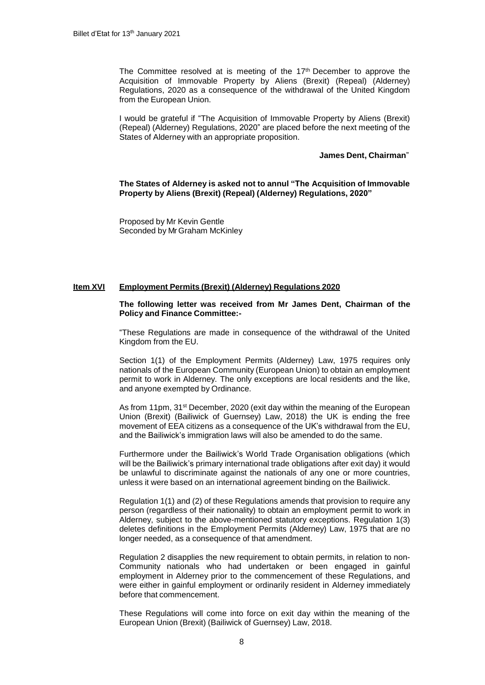The Committee resolved at is meeting of the 17<sup>th</sup> December to approve the Acquisition of Immovable Property by Aliens (Brexit) (Repeal) (Alderney) Regulations, 2020 as a consequence of the withdrawal of the United Kingdom from the European Union.

I would be grateful if "The Acquisition of Immovable Property by Aliens (Brexit) (Repeal) (Alderney) Regulations, 2020" are placed before the next meeting of the States of Alderney with an appropriate proposition.

#### **James Dent, Chairman**"

**The States of Alderney is asked not to annul "The Acquisition of Immovable Property by Aliens (Brexit) (Repeal) (Alderney) Regulations, 2020"**

Proposed by Mr Kevin Gentle Seconded by Mr Graham McKinley

#### **Item XVI Employment Permits (Brexit) (Alderney) Regulations 2020**

#### **The following letter was received from Mr James Dent, Chairman of the Policy and Finance Committee:-**

"These Regulations are made in consequence of the withdrawal of the United Kingdom from the EU.

Section 1(1) of the Employment Permits (Alderney) Law, 1975 requires only nationals of the European Community (European Union) to obtain an employment permit to work in Alderney. The only exceptions are local residents and the like, and anyone exempted by Ordinance.

As from 11pm, 31<sup>st</sup> December, 2020 (exit day within the meaning of the European Union (Brexit) (Bailiwick of Guernsey) Law, 2018) the UK is ending the free movement of EEA citizens as a consequence of the UK's withdrawal from the EU, and the Bailiwick's immigration laws will also be amended to do the same.

Furthermore under the Bailiwick's World Trade Organisation obligations (which will be the Bailiwick's primary international trade obligations after exit day) it would be unlawful to discriminate against the nationals of any one or more countries, unless it were based on an international agreement binding on the Bailiwick.

Regulation 1(1) and (2) of these Regulations amends that provision to require any person (regardless of their nationality) to obtain an employment permit to work in Alderney, subject to the above-mentioned statutory exceptions. Regulation 1(3) deletes definitions in the Employment Permits (Alderney) Law, 1975 that are no longer needed, as a consequence of that amendment.

Regulation 2 disapplies the new requirement to obtain permits, in relation to non-Community nationals who had undertaken or been engaged in gainful employment in Alderney prior to the commencement of these Regulations, and were either in gainful employment or ordinarily resident in Alderney immediately before that commencement.

These Regulations will come into force on exit day within the meaning of the European Union (Brexit) (Bailiwick of Guernsey) Law, 2018.